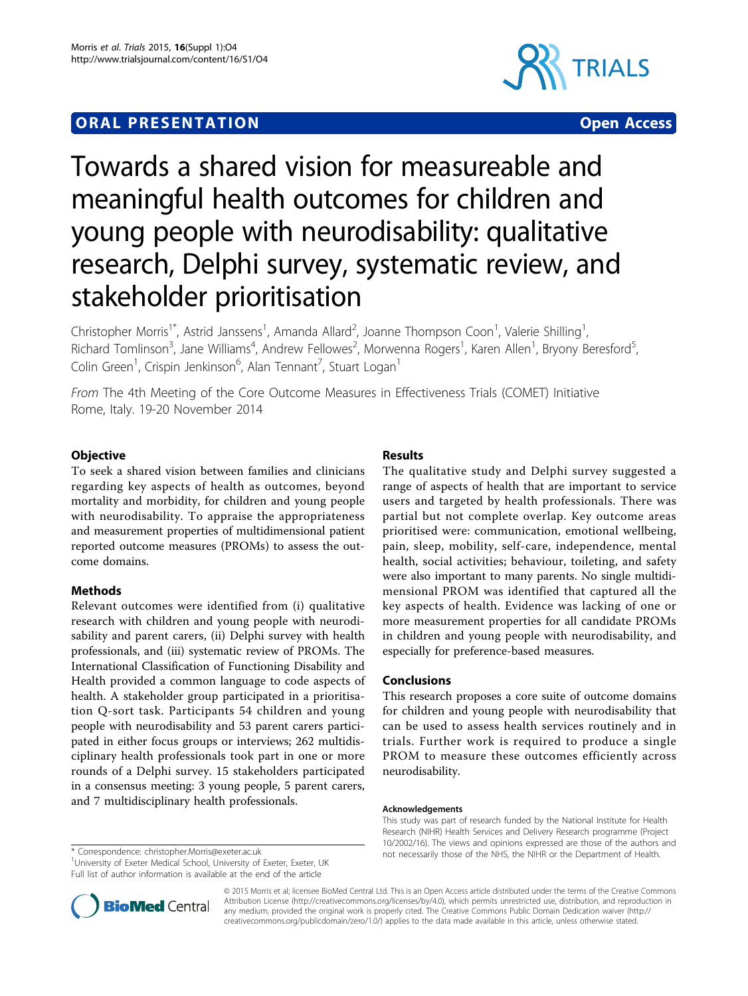# **ORAL PRESENTATION CONSUMING ACCESS**





# Towards a shared vision for measureable and meaningful health outcomes for children and young people with neurodisability: qualitative research, Delphi survey, systematic review, and stakeholder prioritisation

Christopher Morris<sup>1\*</sup>, Astrid Janssens<sup>1</sup>, Amanda Allard<sup>2</sup>, Joanne Thompson Coon<sup>1</sup>, Valerie Shilling<sup>1</sup> , Richard Tomlinson<sup>3</sup>, Jane Williams<sup>4</sup>, Andrew Fellowes<sup>2</sup>, Morwenna Rogers<sup>1</sup>, Karen Allen<sup>1</sup>, Bryony Beresford<sup>5</sup> , Colin Green<sup>1</sup>, Crispin Jenkinson<sup>6</sup>, Alan Tennant<sup>7</sup>, Stuart Logan<sup>1</sup>

From The 4th Meeting of the Core Outcome Measures in Effectiveness Trials (COMET) Initiative Rome, Italy. 19-20 November 2014

# **Objective**

To seek a shared vision between families and clinicians regarding key aspects of health as outcomes, beyond mortality and morbidity, for children and young people with neurodisability. To appraise the appropriateness and measurement properties of multidimensional patient reported outcome measures (PROMs) to assess the outcome domains.

# Methods

Relevant outcomes were identified from (i) qualitative research with children and young people with neurodisability and parent carers, (ii) Delphi survey with health professionals, and (iii) systematic review of PROMs. The International Classification of Functioning Disability and Health provided a common language to code aspects of health. A stakeholder group participated in a prioritisation Q-sort task. Participants 54 children and young people with neurodisability and 53 parent carers participated in either focus groups or interviews; 262 multidisciplinary health professionals took part in one or more rounds of a Delphi survey. 15 stakeholders participated in a consensus meeting: 3 young people, 5 parent carers, and 7 multidisciplinary health professionals.

<sup>1</sup>University of Exeter Medical School, University of Exeter, Exeter, UK Full list of author information is available at the end of the article



The qualitative study and Delphi survey suggested a range of aspects of health that are important to service users and targeted by health professionals. There was partial but not complete overlap. Key outcome areas prioritised were: communication, emotional wellbeing, pain, sleep, mobility, self-care, independence, mental health, social activities; behaviour, toileting, and safety were also important to many parents. No single multidimensional PROM was identified that captured all the key aspects of health. Evidence was lacking of one or more measurement properties for all candidate PROMs in children and young people with neurodisability, and especially for preference-based measures.

### Conclusions

This research proposes a core suite of outcome domains for children and young people with neurodisability that can be used to assess health services routinely and in trials. Further work is required to produce a single PROM to measure these outcomes efficiently across neurodisability.

#### Acknowledgements

This study was part of research funded by the National Institute for Health Research (NIHR) Health Services and Delivery Research programme (Project 10/2002/16). The views and opinions expressed are those of the authors and not necessarily those of the NHS, the NIHR or the Department of Health. \* Correspondence: [christopher.Morris@exeter.ac.uk](mailto:christopher.Morris@exeter.ac.uk)



© 2015 Morris et al; licensee BioMed Central Ltd. This is an Open Access article distributed under the terms of the Creative Commons Attribution License [\(http://creativecommons.org/licenses/by/4.0](http://creativecommons.org/licenses/by/4.0)), which permits unrestricted use, distribution, and reproduction in any medium, provided the original work is properly cited. The Creative Commons Public Domain Dedication waiver [\(http://](http://creativecommons.org/publicdomain/zero/1.0/) [creativecommons.org/publicdomain/zero/1.0/](http://creativecommons.org/publicdomain/zero/1.0/)) applies to the data made available in this article, unless otherwise stated.